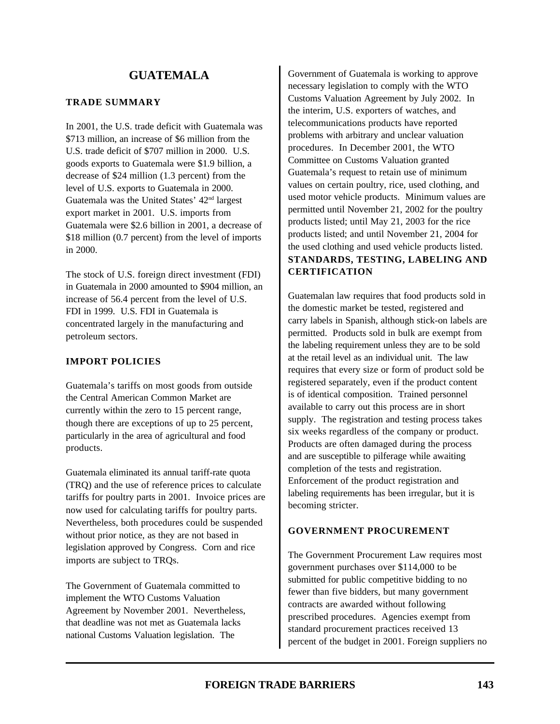# **GUATEMALA**

#### **TRADE SUMMARY**

In 2001, the U.S. trade deficit with Guatemala was \$713 million, an increase of \$6 million from the U.S. trade deficit of \$707 million in 2000. U.S. goods exports to Guatemala were \$1.9 billion, a decrease of \$24 million (1.3 percent) from the level of U.S. exports to Guatemala in 2000. Guatemala was the United States' 42nd largest export market in 2001. U.S. imports from Guatemala were \$2.6 billion in 2001, a decrease of \$18 million (0.7 percent) from the level of imports in 2000.

The stock of U.S. foreign direct investment (FDI) in Guatemala in 2000 amounted to \$904 million, an increase of 56.4 percent from the level of U.S. FDI in 1999. U.S. FDI in Guatemala is concentrated largely in the manufacturing and petroleum sectors.

#### **IMPORT POLICIES**

Guatemala's tariffs on most goods from outside the Central American Common Market are currently within the zero to 15 percent range, though there are exceptions of up to 25 percent, particularly in the area of agricultural and food products.

Guatemala eliminated its annual tariff-rate quota (TRQ) and the use of reference prices to calculate tariffs for poultry parts in 2001. Invoice prices are now used for calculating tariffs for poultry parts. Nevertheless, both procedures could be suspended without prior notice, as they are not based in legislation approved by Congress. Corn and rice imports are subject to TRQs.

The Government of Guatemala committed to implement the WTO Customs Valuation Agreement by November 2001. Nevertheless, that deadline was not met as Guatemala lacks national Customs Valuation legislation. The

Government of Guatemala is working to approve necessary legislation to comply with the WTO Customs Valuation Agreement by July 2002. In the interim, U.S. exporters of watches, and telecommunications products have reported problems with arbitrary and unclear valuation procedures. In December 2001, the WTO Committee on Customs Valuation granted Guatemala's request to retain use of minimum values on certain poultry, rice, used clothing, and used motor vehicle products. Minimum values are permitted until November 21, 2002 for the poultry products listed; until May 21, 2003 for the rice products listed; and until November 21, 2004 for the used clothing and used vehicle products listed. **STANDARDS, TESTING, LABELING AND CERTIFICATION**

Guatemalan law requires that food products sold in the domestic market be tested, registered and carry labels in Spanish, although stick-on labels are permitted. Products sold in bulk are exempt from the labeling requirement unless they are to be sold at the retail level as an individual unit. The law requires that every size or form of product sold be registered separately, even if the product content is of identical composition. Trained personnel available to carry out this process are in short supply. The registration and testing process takes six weeks regardless of the company or product. Products are often damaged during the process and are susceptible to pilferage while awaiting completion of the tests and registration. Enforcement of the product registration and labeling requirements has been irregular, but it is becoming stricter.

#### **GOVERNMENT PROCUREMENT**

The Government Procurement Law requires most government purchases over \$114,000 to be submitted for public competitive bidding to no fewer than five bidders, but many government contracts are awarded without following prescribed procedures. Agencies exempt from standard procurement practices received 13 percent of the budget in 2001. Foreign suppliers no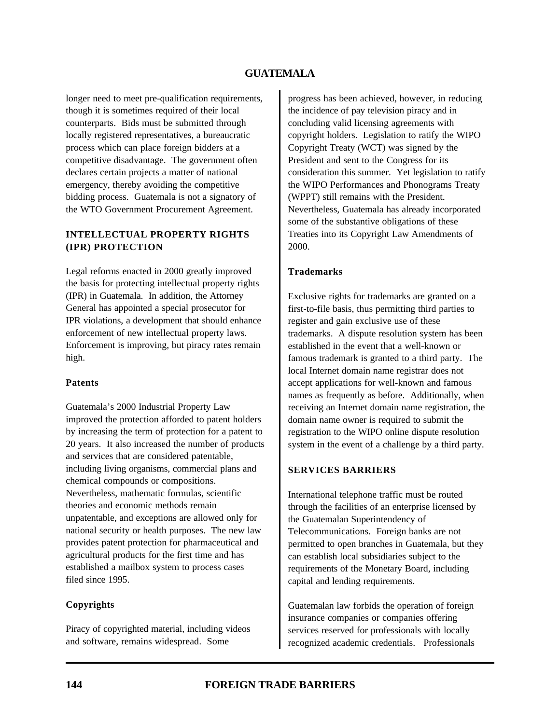# **GUATEMALA**

longer need to meet pre-qualification requirements, though it is sometimes required of their local counterparts. Bids must be submitted through locally registered representatives, a bureaucratic process which can place foreign bidders at a competitive disadvantage. The government often declares certain projects a matter of national emergency, thereby avoiding the competitive bidding process. Guatemala is not a signatory of the WTO Government Procurement Agreement.

#### **INTELLECTUAL PROPERTY RIGHTS (IPR) PROTECTION**

Legal reforms enacted in 2000 greatly improved the basis for protecting intellectual property rights (IPR) in Guatemala. In addition, the Attorney General has appointed a special prosecutor for IPR violations, a development that should enhance enforcement of new intellectual property laws. Enforcement is improving, but piracy rates remain high.

#### **Patents**

Guatemala's 2000 Industrial Property Law improved the protection afforded to patent holders by increasing the term of protection for a patent to 20 years. It also increased the number of products and services that are considered patentable, including living organisms, commercial plans and chemical compounds or compositions. Nevertheless, mathematic formulas, scientific theories and economic methods remain unpatentable, and exceptions are allowed only for national security or health purposes. The new law provides patent protection for pharmaceutical and agricultural products for the first time and has established a mailbox system to process cases filed since 1995.

#### **Copyrights**

Piracy of copyrighted material, including videos and software, remains widespread. Some

progress has been achieved, however, in reducing the incidence of pay television piracy and in concluding valid licensing agreements with copyright holders. Legislation to ratify the WIPO Copyright Treaty (WCT) was signed by the President and sent to the Congress for its consideration this summer. Yet legislation to ratify the WIPO Performances and Phonograms Treaty (WPPT) still remains with the President. Nevertheless, Guatemala has already incorporated some of the substantive obligations of these Treaties into its Copyright Law Amendments of 2000.

#### **Trademarks**

Exclusive rights for trademarks are granted on a first-to-file basis, thus permitting third parties to register and gain exclusive use of these trademarks. A dispute resolution system has been established in the event that a well-known or famous trademark is granted to a third party. The local Internet domain name registrar does not accept applications for well-known and famous names as frequently as before. Additionally, when receiving an Internet domain name registration, the domain name owner is required to submit the registration to the WIPO online dispute resolution system in the event of a challenge by a third party.

#### **SERVICES BARRIERS**

International telephone traffic must be routed through the facilities of an enterprise licensed by the Guatemalan Superintendency of Telecommunications. Foreign banks are not permitted to open branches in Guatemala, but they can establish local subsidiaries subject to the requirements of the Monetary Board, including capital and lending requirements.

Guatemalan law forbids the operation of foreign insurance companies or companies offering services reserved for professionals with locally recognized academic credentials. Professionals